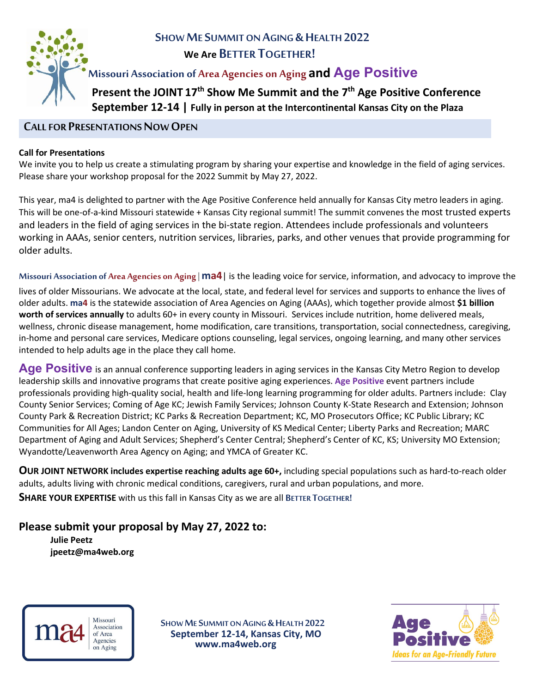

# **SHOW ME SUMMIT ON AGING & HEALTH 2022 We Are BETTER TOGETHER!**

# **Missouri Association of Area Agencies on Aging and Age Positive**

 **Present the JOINT 17th Show Me Summit and the 7th Age Positive Conference September 12-14 | Fully in person at the Intercontinental Kansas City on the Plaza**

### **CALL FOR PRESENTATIONS NOW OPEN**

#### **Call for Presentations**

We invite you to help us create a stimulating program by sharing your expertise and knowledge in the field of aging services. Please share your workshop proposal for the 2022 Summit by May 27, 2022.

This year, ma4 is delighted to partner with the Age Positive Conference held annually for Kansas City metro leaders in aging. This will be one-of-a-kind Missouri statewide + Kansas City regional summit! The summit convenes the most trusted experts and leaders in the field of aging services in the bi-state region. Attendees include professionals and volunteers working in AAAs, senior centers, nutrition services, libraries, parks, and other venues that provide programming for older adults.

**Missouri Association of Area Agencies on Aging** | **ma4**| is the leading voice for service, information, and advocacy to improve the lives of older Missourians. We advocate at the local, state, and federal level for services and supports to enhance the lives of older adults. **ma4** is the statewide association of Area Agencies on Aging (AAAs), which together provide almost **\$1 billion worth of services annually** to adults 60+ in every county in Missouri. Services include nutrition, home delivered meals, wellness, chronic disease management, home modification, care transitions, transportation, social connectedness, caregiving, in-home and personal care services, Medicare options counseling, legal services, ongoing learning, and many other services intended to help adults age in the place they call home.

Age Positive is an annual conference supporting leaders in aging services in the Kansas City Metro Region to develop leadership skills and innovative programs that create positive aging experiences. **Age Positive** event partners include professionals providing high-quality social, health and life-long learning programming for older adults. Partners include: Clay County Senior Services; Coming of Age KC; Jewish Family Services; Johnson County K-State Research and Extension; Johnson County Park & Recreation District; KC Parks & Recreation Department; KC, MO Prosecutors Office; KC Public Library; KC Communities for All Ages; Landon Center on Aging, University of KS Medical Center; Liberty Parks and Recreation; MARC Department of Aging and Adult Services; Shepherd's Center Central; Shepherd's Center of KC, KS; University MO Extension; Wyandotte/Leavenworth Area Agency on Aging; and YMCA of Greater KC.

**OUR JOINT NETWORK includes expertise reaching adults age 60+,** including special populations such as hard-to-reach older adults, adults living with chronic medical conditions, caregivers, rural and urban populations, and more. **SHARE YOUR EXPERTISE** with us this fall in Kansas City as we are all **BETTER TOGETHER!**

# **Please submit your proposal by May 27, 2022 to:**

**Julie Peetz jpeetz@ma4web.org**

> Missouri Association of Area Agencies on Aging

 **SHOW ME SUMMITON AGING &HEALTH 2022 September 12-14, Kansas City, MO www.ma4web.org**

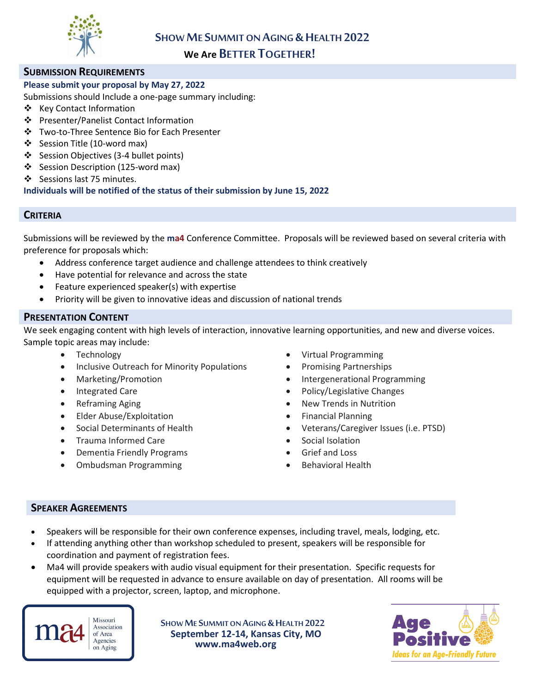

## **We Are BETTER TOGETHER!**

### **SUBMISSION REQUIREMENTS**

### **Please submit your proposal by May 27, 2022**

Submissions should Include a one-page summary including:

- ❖ Key Contact Information
- Presenter/Panelist Contact Information
- Two-to-Three Sentence Bio for Each Presenter
- ❖ Session Title (10-word max)
- Session Objectives (3-4 bullet points)
- ❖ Session Description (125-word max)
- ❖ Sessions last 75 minutes.

**Individuals will be notified of the status of their submission by June 15, 2022**

### **CRITERIA**

Submissions will be reviewed by the **ma4** Conference Committee. Proposals will be reviewed based on several criteria with preference for proposals which:

- Address conference target audience and challenge attendees to think creatively
- Have potential for relevance and across the state
- Feature experienced speaker(s) with expertise
- Priority will be given to innovative ideas and discussion of national trends

#### **PRESENTATION CONTENT**

We seek engaging content with high levels of interaction, innovative learning opportunities, and new and diverse voices. Sample topic areas may include:

- 
- Inclusive Outreach for Minority Populations Promising Partnerships
- 
- 
- 
- Elder Abuse/Exploitation Financial Planning
- 
- Trauma Informed Care Social Isolation
- **Dementia Friendly Programs Grief and Loss**
- Ombudsman Programming Behavioral Health
- Technology  **Virtual Programming** 
	-
	- Marketing/Promotion Intergenerational Programming
	- Integrated Care  **Policy/Legislative Changes** Policy/Legislative Changes
	- Reframing Aging **Figure 10 CONSOCIETY New Trends in Nutrition** 
		-
	- Social Determinants of Health Veterans/Caregiver Issues (i.e. PTSD)
		-
		-
		-

#### **SPEAKER AGREEMENTS**

- Speakers will be responsible for their own conference expenses, including travel, meals, lodging, etc.
- If attending anything other than workshop scheduled to present, speakers will be responsible for coordination and payment of registration fees.
- Ma4 will provide speakers with audio visual equipment for their presentation. Specific requests for equipment will be requested in advance to ensure available on day of presentation. All rooms will be equipped with a projector, screen, laptop, and microphone.

Missouri Association of Area Agencies on Aging

 **SHOW ME SUMMITON AGING &HEALTH 2022 September 12-14, Kansas City, MO www.ma4web.org**